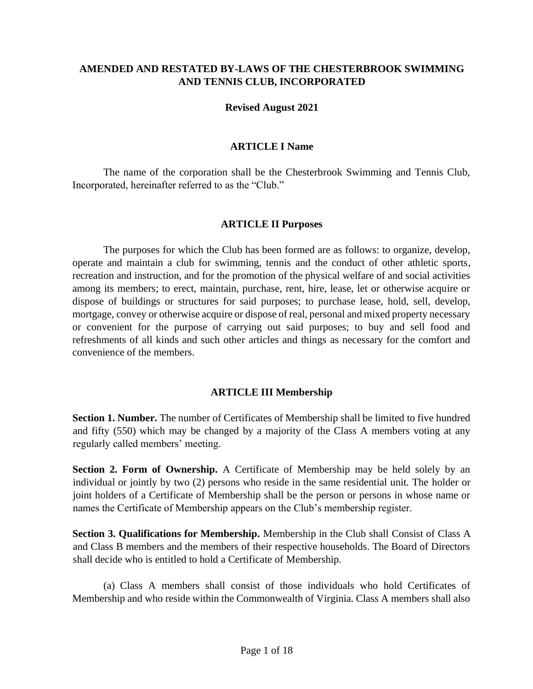## **AMENDED AND RESTATED BY-LAWS OF THE CHESTERBROOK SWIMMING AND TENNIS CLUB, INCORPORATED**

#### **Revised August 2021**

#### **ARTICLE I Name**

The name of the corporation shall be the Chesterbrook Swimming and Tennis Club, Incorporated, hereinafter referred to as the "Club."

#### **ARTICLE II Purposes**

The purposes for which the Club has been formed are as follows: to organize, develop, operate and maintain a club for swimming, tennis and the conduct of other athletic sports, recreation and instruction, and for the promotion of the physical welfare of and social activities among its members; to erect, maintain, purchase, rent, hire, lease, let or otherwise acquire or dispose of buildings or structures for said purposes; to purchase lease, hold, sell, develop, mortgage, convey or otherwise acquire or dispose of real, personal and mixed property necessary or convenient for the purpose of carrying out said purposes; to buy and sell food and refreshments of all kinds and such other articles and things as necessary for the comfort and convenience of the members.

#### **ARTICLE III Membership**

**Section 1. Number.** The number of Certificates of Membership shall be limited to five hundred and fifty (550) which may be changed by a majority of the Class A members voting at any regularly called members' meeting.

**Section 2. Form of Ownership.** A Certificate of Membership may be held solely by an individual or jointly by two (2) persons who reside in the same residential unit. The holder or joint holders of a Certificate of Membership shall be the person or persons in whose name or names the Certificate of Membership appears on the Club's membership register.

**Section 3. Qualifications for Membership.** Membership in the Club shall Consist of Class A and Class B members and the members of their respective households. The Board of Directors shall decide who is entitled to hold a Certificate of Membership.

(a) Class A members shall consist of those individuals who hold Certificates of Membership and who reside within the Commonwealth of Virginia. Class A members shall also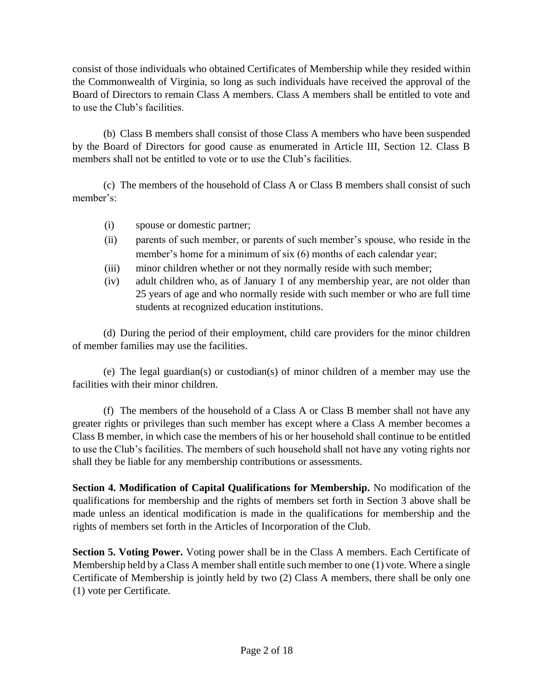consist of those individuals who obtained Certificates of Membership while they resided within the Commonwealth of Virginia, so long as such individuals have received the approval of the Board of Directors to remain Class A members. Class A members shall be entitled to vote and to use the Club's facilities.

(b) Class B members shall consist of those Class A members who have been suspended by the Board of Directors for good cause as enumerated in Article III, Section 12. Class B members shall not be entitled to vote or to use the Club's facilities.

(c) The members of the household of Class A or Class B members shall consist of such member's:

- (i) spouse or domestic partner;
- (ii) parents of such member, or parents of such member's spouse, who reside in the member's home for a minimum of six (6) months of each calendar year;
- (iii) minor children whether or not they normally reside with such member;
- (iv) adult children who, as of January 1 of any membership year, are not older than 25 years of age and who normally reside with such member or who are full time students at recognized education institutions.

(d) During the period of their employment, child care providers for the minor children of member families may use the facilities.

(e) The legal guardian(s) or custodian(s) of minor children of a member may use the facilities with their minor children.

(f) The members of the household of a Class A or Class B member shall not have any greater rights or privileges than such member has except where a Class A member becomes a Class B member, in which case the members of his or her household shall continue to be entitled to use the Club's facilities. The members of such household shall not have any voting rights nor shall they be liable for any membership contributions or assessments.

**Section 4. Modification of Capital Qualifications for Membership.** No modification of the qualifications for membership and the rights of members set forth in Section 3 above shall be made unless an identical modification is made in the qualifications for membership and the rights of members set forth in the Articles of Incorporation of the Club.

**Section 5. Voting Power.** Voting power shall be in the Class A members. Each Certificate of Membership held by a Class A member shall entitle such member to one (1) vote. Where a single Certificate of Membership is jointly held by two (2) Class A members, there shall be only one (1) vote per Certificate.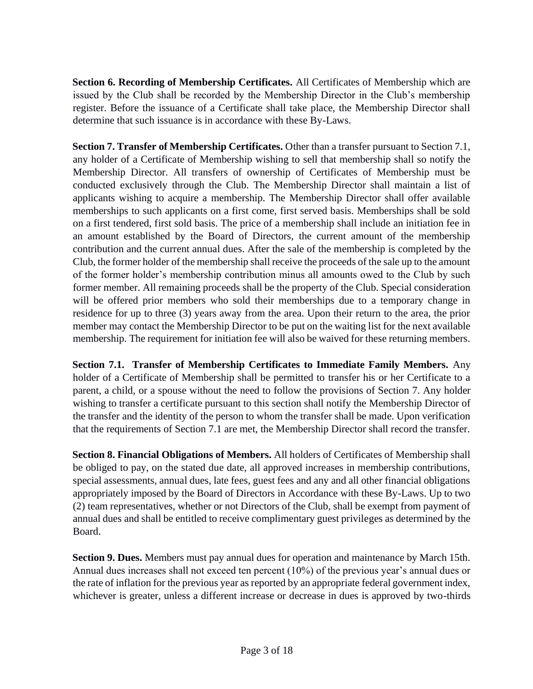**Section 6. Recording of Membership Certificates.** All Certificates of Membership which are issued by the Club shall be recorded by the Membership Director in the Club's membership register. Before the issuance of a Certificate shall take place, the Membership Director shall determine that such issuance is in accordance with these By-Laws.

**Section 7. Transfer of Membership Certificates.** Other than a transfer pursuant to Section 7.1, any holder of a Certificate of Membership wishing to sell that membership shall so notify the Membership Director. All transfers of ownership of Certificates of Membership must be conducted exclusively through the Club. The Membership Director shall maintain a list of applicants wishing to acquire a membership. The Membership Director shall offer available memberships to such applicants on a first come, first served basis. Memberships shall be sold on a first tendered, first sold basis. The price of a membership shall include an initiation fee in an amount established by the Board of Directors, the current amount of the membership contribution and the current annual dues. After the sale of the membership is completed by the Club, the former holder of the membership shall receive the proceeds of the sale up to the amount of the former holder's membership contribution minus all amounts owed to the Club by such former member. All remaining proceeds shall be the property of the Club. Special consideration will be offered prior members who sold their memberships due to a temporary change in residence for up to three (3) years away from the area. Upon their return to the area, the prior member may contact the Membership Director to be put on the waiting list for the next available membership. The requirement for initiation fee will also be waived for these returning members.

**Section 7.1. Transfer of Membership Certificates to Immediate Family Members.** Any holder of a Certificate of Membership shall be permitted to transfer his or her Certificate to a parent, a child, or a spouse without the need to follow the provisions of Section 7. Any holder wishing to transfer a certificate pursuant to this section shall notify the Membership Director of the transfer and the identity of the person to whom the transfer shall be made. Upon verification that the requirements of Section 7.1 are met, the Membership Director shall record the transfer.

**Section 8. Financial Obligations of Members.** All holders of Certificates of Membership shall be obliged to pay, on the stated due date, all approved increases in membership contributions, special assessments, annual dues, late fees, guest fees and any and all other financial obligations appropriately imposed by the Board of Directors in Accordance with these By-Laws. Up to two (2) team representatives, whether or not Directors of the Club, shall be exempt from payment of annual dues and shall be entitled to receive complimentary guest privileges as determined by the Board.

**Section 9. Dues.** Members must pay annual dues for operation and maintenance by March 15th. Annual dues increases shall not exceed ten percent (10%) of the previous year's annual dues or the rate of inflation for the previous year as reported by an appropriate federal government index, whichever is greater, unless a different increase or decrease in dues is approved by two-thirds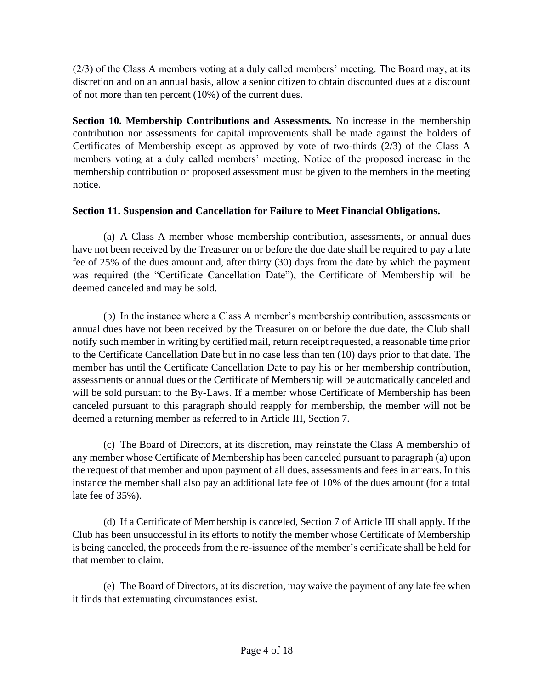(2/3) of the Class A members voting at a duly called members' meeting. The Board may, at its discretion and on an annual basis, allow a senior citizen to obtain discounted dues at a discount of not more than ten percent (10%) of the current dues.

**Section 10. Membership Contributions and Assessments.** No increase in the membership contribution nor assessments for capital improvements shall be made against the holders of Certificates of Membership except as approved by vote of two-thirds (2/3) of the Class A members voting at a duly called members' meeting. Notice of the proposed increase in the membership contribution or proposed assessment must be given to the members in the meeting notice.

### **Section 11. Suspension and Cancellation for Failure to Meet Financial Obligations.**

(a) A Class A member whose membership contribution, assessments, or annual dues have not been received by the Treasurer on or before the due date shall be required to pay a late fee of 25% of the dues amount and, after thirty (30) days from the date by which the payment was required (the "Certificate Cancellation Date"), the Certificate of Membership will be deemed canceled and may be sold.

(b) In the instance where a Class A member's membership contribution, assessments or annual dues have not been received by the Treasurer on or before the due date, the Club shall notify such member in writing by certified mail, return receipt requested, a reasonable time prior to the Certificate Cancellation Date but in no case less than ten (10) days prior to that date. The member has until the Certificate Cancellation Date to pay his or her membership contribution, assessments or annual dues or the Certificate of Membership will be automatically canceled and will be sold pursuant to the By-Laws. If a member whose Certificate of Membership has been canceled pursuant to this paragraph should reapply for membership, the member will not be deemed a returning member as referred to in Article III, Section 7.

(c) The Board of Directors, at its discretion, may reinstate the Class A membership of any member whose Certificate of Membership has been canceled pursuant to paragraph (a) upon the request of that member and upon payment of all dues, assessments and fees in arrears. In this instance the member shall also pay an additional late fee of 10% of the dues amount (for a total late fee of 35%).

(d) If a Certificate of Membership is canceled, Section 7 of Article III shall apply. If the Club has been unsuccessful in its efforts to notify the member whose Certificate of Membership is being canceled, the proceeds from the re-issuance of the member's certificate shall be held for that member to claim.

(e) The Board of Directors, at its discretion, may waive the payment of any late fee when it finds that extenuating circumstances exist.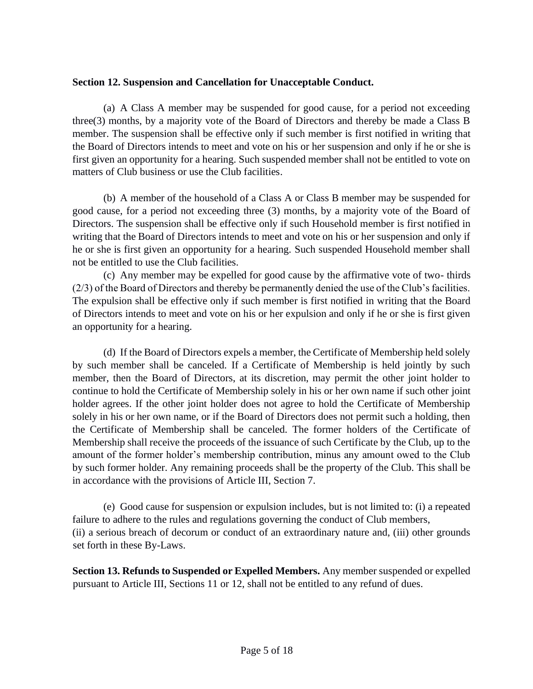#### **Section 12. Suspension and Cancellation for Unacceptable Conduct.**

(a) A Class A member may be suspended for good cause, for a period not exceeding three(3) months, by a majority vote of the Board of Directors and thereby be made a Class B member. The suspension shall be effective only if such member is first notified in writing that the Board of Directors intends to meet and vote on his or her suspension and only if he or she is first given an opportunity for a hearing. Such suspended member shall not be entitled to vote on matters of Club business or use the Club facilities.

(b) A member of the household of a Class A or Class B member may be suspended for good cause, for a period not exceeding three (3) months, by a majority vote of the Board of Directors. The suspension shall be effective only if such Household member is first notified in writing that the Board of Directors intends to meet and vote on his or her suspension and only if he or she is first given an opportunity for a hearing. Such suspended Household member shall not be entitled to use the Club facilities.

(c) Any member may be expelled for good cause by the affirmative vote of two- thirds (2/3) of the Board of Directors and thereby be permanently denied the use of the Club's facilities. The expulsion shall be effective only if such member is first notified in writing that the Board of Directors intends to meet and vote on his or her expulsion and only if he or she is first given an opportunity for a hearing.

(d) If the Board of Directors expels a member, the Certificate of Membership held solely by such member shall be canceled. If a Certificate of Membership is held jointly by such member, then the Board of Directors, at its discretion, may permit the other joint holder to continue to hold the Certificate of Membership solely in his or her own name if such other joint holder agrees. If the other joint holder does not agree to hold the Certificate of Membership solely in his or her own name, or if the Board of Directors does not permit such a holding, then the Certificate of Membership shall be canceled. The former holders of the Certificate of Membership shall receive the proceeds of the issuance of such Certificate by the Club, up to the amount of the former holder's membership contribution, minus any amount owed to the Club by such former holder. Any remaining proceeds shall be the property of the Club. This shall be in accordance with the provisions of Article III, Section 7.

(e) Good cause for suspension or expulsion includes, but is not limited to: (i) a repeated failure to adhere to the rules and regulations governing the conduct of Club members, (ii) a serious breach of decorum or conduct of an extraordinary nature and, (iii) other grounds set forth in these By-Laws.

**Section 13. Refunds to Suspended or Expelled Members.** Any member suspended or expelled pursuant to Article III, Sections 11 or 12, shall not be entitled to any refund of dues.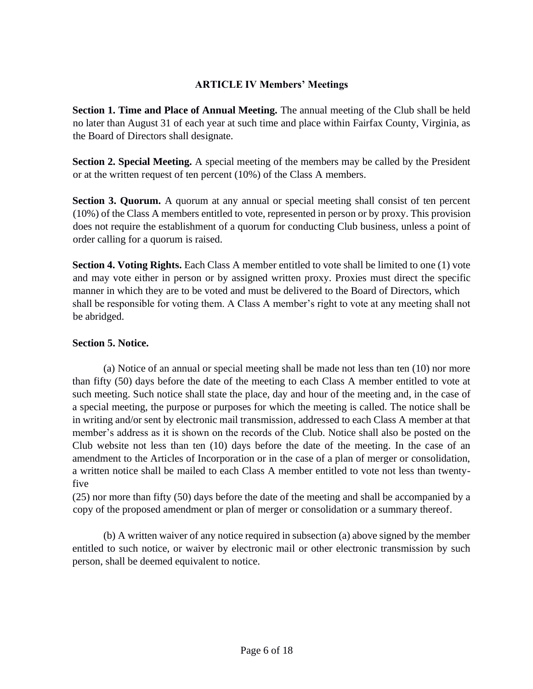## **ARTICLE IV Members' Meetings**

**Section 1. Time and Place of Annual Meeting.** The annual meeting of the Club shall be held no later than August 31 of each year at such time and place within Fairfax County, Virginia, as the Board of Directors shall designate.

**Section 2. Special Meeting.** A special meeting of the members may be called by the President or at the written request of ten percent (10%) of the Class A members.

**Section 3. Quorum.** A quorum at any annual or special meeting shall consist of ten percent (10%) of the Class A members entitled to vote, represented in person or by proxy. This provision does not require the establishment of a quorum for conducting Club business, unless a point of order calling for a quorum is raised.

**Section 4. Voting Rights.** Each Class A member entitled to vote shall be limited to one (1) vote and may vote either in person or by assigned written proxy. Proxies must direct the specific manner in which they are to be voted and must be delivered to the Board of Directors, which shall be responsible for voting them. A Class A member's right to vote at any meeting shall not be abridged.

## **Section 5. Notice.**

(a) Notice of an annual or special meeting shall be made not less than ten (10) nor more than fifty (50) days before the date of the meeting to each Class A member entitled to vote at such meeting. Such notice shall state the place, day and hour of the meeting and, in the case of a special meeting, the purpose or purposes for which the meeting is called. The notice shall be in writing and/or sent by electronic mail transmission, addressed to each Class A member at that member's address as it is shown on the records of the Club. Notice shall also be posted on the Club website not less than ten (10) days before the date of the meeting. In the case of an amendment to the Articles of Incorporation or in the case of a plan of merger or consolidation, a written notice shall be mailed to each Class A member entitled to vote not less than twentyfive

(25) nor more than fifty (50) days before the date of the meeting and shall be accompanied by a copy of the proposed amendment or plan of merger or consolidation or a summary thereof.

(b) A written waiver of any notice required in subsection (a) above signed by the member entitled to such notice, or waiver by electronic mail or other electronic transmission by such person, shall be deemed equivalent to notice.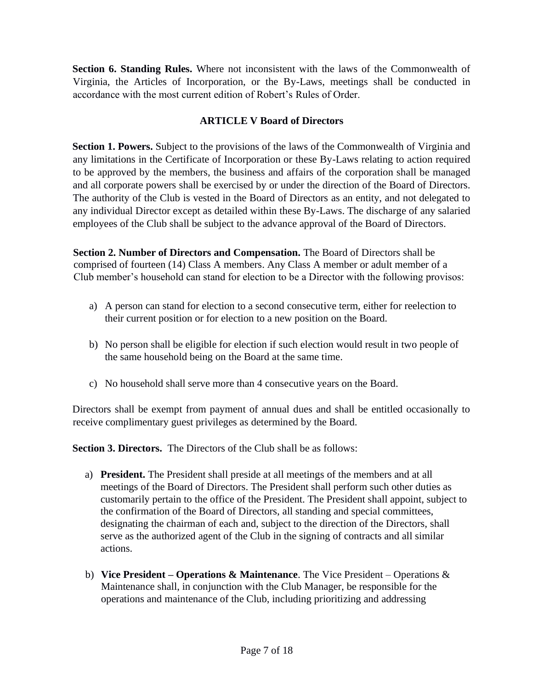**Section 6. Standing Rules.** Where not inconsistent with the laws of the Commonwealth of Virginia, the Articles of Incorporation, or the By-Laws, meetings shall be conducted in accordance with the most current edition of Robert's Rules of Order.

# **ARTICLE V Board of Directors**

**Section 1. Powers.** Subject to the provisions of the laws of the Commonwealth of Virginia and any limitations in the Certificate of Incorporation or these By-Laws relating to action required to be approved by the members, the business and affairs of the corporation shall be managed and all corporate powers shall be exercised by or under the direction of the Board of Directors. The authority of the Club is vested in the Board of Directors as an entity, and not delegated to any individual Director except as detailed within these By-Laws. The discharge of any salaried employees of the Club shall be subject to the advance approval of the Board of Directors.

**Section 2. Number of Directors and Compensation.** The Board of Directors shall be comprised of fourteen (14) Class A members. Any Class A member or adult member of a Club member's household can stand for election to be a Director with the following provisos:

- a) A person can stand for election to a second consecutive term, either for reelection to their current position or for election to a new position on the Board.
- b) No person shall be eligible for election if such election would result in two people of the same household being on the Board at the same time.
- c) No household shall serve more than 4 consecutive years on the Board.

Directors shall be exempt from payment of annual dues and shall be entitled occasionally to receive complimentary guest privileges as determined by the Board.

**Section 3. Directors.** The Directors of the Club shall be as follows:

- a) **President.** The President shall preside at all meetings of the members and at all meetings of the Board of Directors. The President shall perform such other duties as customarily pertain to the office of the President. The President shall appoint, subject to the confirmation of the Board of Directors, all standing and special committees, designating the chairman of each and, subject to the direction of the Directors, shall serve as the authorized agent of the Club in the signing of contracts and all similar actions.
- b) **Vice President – Operations & Maintenance**. The Vice President Operations & Maintenance shall, in conjunction with the Club Manager, be responsible for the operations and maintenance of the Club, including prioritizing and addressing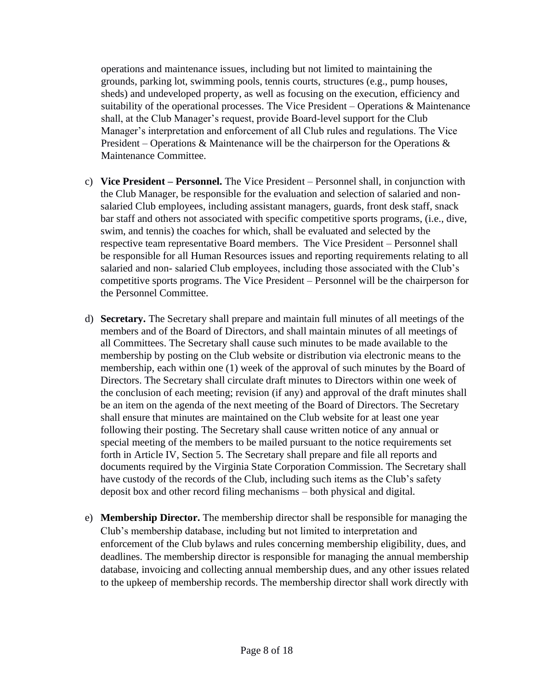operations and maintenance issues, including but not limited to maintaining the grounds, parking lot, swimming pools, tennis courts, structures (e.g., pump houses, sheds) and undeveloped property, as well as focusing on the execution, efficiency and suitability of the operational processes. The Vice President – Operations  $\&$  Maintenance shall, at the Club Manager's request, provide Board-level support for the Club Manager's interpretation and enforcement of all Club rules and regulations. The Vice President – Operations & Maintenance will be the chairperson for the Operations  $\&$ Maintenance Committee.

- c) **Vice President – Personnel.** The Vice President Personnel shall, in conjunction with the Club Manager, be responsible for the evaluation and selection of salaried and nonsalaried Club employees, including assistant managers, guards, front desk staff, snack bar staff and others not associated with specific competitive sports programs, (i.e., dive, swim, and tennis) the coaches for which, shall be evaluated and selected by the respective team representative Board members. The Vice President – Personnel shall be responsible for all Human Resources issues and reporting requirements relating to all salaried and non- salaried Club employees, including those associated with the Club's competitive sports programs. The Vice President – Personnel will be the chairperson for the Personnel Committee.
- d) **Secretary.** The Secretary shall prepare and maintain full minutes of all meetings of the members and of the Board of Directors, and shall maintain minutes of all meetings of all Committees. The Secretary shall cause such minutes to be made available to the membership by posting on the Club website or distribution via electronic means to the membership, each within one (1) week of the approval of such minutes by the Board of Directors. The Secretary shall circulate draft minutes to Directors within one week of the conclusion of each meeting; revision (if any) and approval of the draft minutes shall be an item on the agenda of the next meeting of the Board of Directors. The Secretary shall ensure that minutes are maintained on the Club website for at least one year following their posting. The Secretary shall cause written notice of any annual or special meeting of the members to be mailed pursuant to the notice requirements set forth in Article IV, Section 5. The Secretary shall prepare and file all reports and documents required by the Virginia State Corporation Commission. The Secretary shall have custody of the records of the Club, including such items as the Club's safety deposit box and other record filing mechanisms – both physical and digital.
- e) **Membership Director.** The membership director shall be responsible for managing the Club's membership database, including but not limited to interpretation and enforcement of the Club bylaws and rules concerning membership eligibility, dues, and deadlines. The membership director is responsible for managing the annual membership database, invoicing and collecting annual membership dues, and any other issues related to the upkeep of membership records. The membership director shall work directly with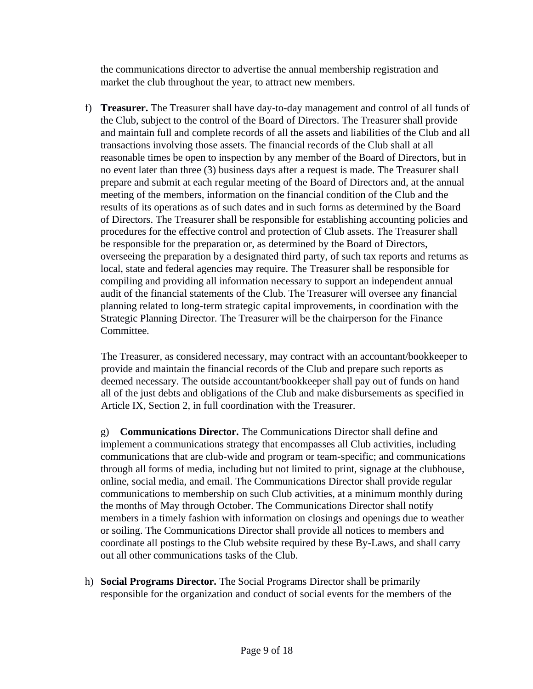the communications director to advertise the annual membership registration and market the club throughout the year, to attract new members.

f) **Treasurer.** The Treasurer shall have day-to-day management and control of all funds of the Club, subject to the control of the Board of Directors. The Treasurer shall provide and maintain full and complete records of all the assets and liabilities of the Club and all transactions involving those assets. The financial records of the Club shall at all reasonable times be open to inspection by any member of the Board of Directors, but in no event later than three (3) business days after a request is made. The Treasurer shall prepare and submit at each regular meeting of the Board of Directors and, at the annual meeting of the members, information on the financial condition of the Club and the results of its operations as of such dates and in such forms as determined by the Board of Directors. The Treasurer shall be responsible for establishing accounting policies and procedures for the effective control and protection of Club assets. The Treasurer shall be responsible for the preparation or, as determined by the Board of Directors, overseeing the preparation by a designated third party, of such tax reports and returns as local, state and federal agencies may require. The Treasurer shall be responsible for compiling and providing all information necessary to support an independent annual audit of the financial statements of the Club. The Treasurer will oversee any financial planning related to long-term strategic capital improvements, in coordination with the Strategic Planning Director. The Treasurer will be the chairperson for the Finance Committee.

The Treasurer, as considered necessary, may contract with an accountant/bookkeeper to provide and maintain the financial records of the Club and prepare such reports as deemed necessary. The outside accountant/bookkeeper shall pay out of funds on hand all of the just debts and obligations of the Club and make disbursements as specified in Article IX, Section 2, in full coordination with the Treasurer.

g) **Communications Director.** The Communications Director shall define and implement a communications strategy that encompasses all Club activities, including communications that are club-wide and program or team-specific; and communications through all forms of media, including but not limited to print, signage at the clubhouse, online, social media, and email. The Communications Director shall provide regular communications to membership on such Club activities, at a minimum monthly during the months of May through October. The Communications Director shall notify members in a timely fashion with information on closings and openings due to weather or soiling. The Communications Director shall provide all notices to members and coordinate all postings to the Club website required by these By-Laws, and shall carry out all other communications tasks of the Club.

h) **Social Programs Director.** The Social Programs Director shall be primarily responsible for the organization and conduct of social events for the members of the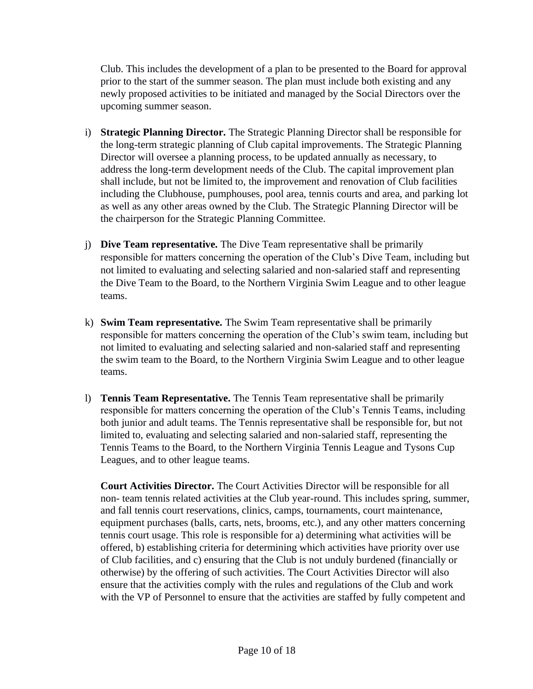Club. This includes the development of a plan to be presented to the Board for approval prior to the start of the summer season. The plan must include both existing and any newly proposed activities to be initiated and managed by the Social Directors over the upcoming summer season.

- i) **Strategic Planning Director.** The Strategic Planning Director shall be responsible for the long-term strategic planning of Club capital improvements. The Strategic Planning Director will oversee a planning process, to be updated annually as necessary, to address the long-term development needs of the Club. The capital improvement plan shall include, but not be limited to, the improvement and renovation of Club facilities including the Clubhouse, pumphouses, pool area, tennis courts and area, and parking lot as well as any other areas owned by the Club. The Strategic Planning Director will be the chairperson for the Strategic Planning Committee.
- j) **Dive Team representative.** The Dive Team representative shall be primarily responsible for matters concerning the operation of the Club's Dive Team, including but not limited to evaluating and selecting salaried and non-salaried staff and representing the Dive Team to the Board, to the Northern Virginia Swim League and to other league teams.
- k) **Swim Team representative.** The Swim Team representative shall be primarily responsible for matters concerning the operation of the Club's swim team, including but not limited to evaluating and selecting salaried and non-salaried staff and representing the swim team to the Board, to the Northern Virginia Swim League and to other league teams.
- l) **Tennis Team Representative.** The Tennis Team representative shall be primarily responsible for matters concerning the operation of the Club's Tennis Teams, including both junior and adult teams. The Tennis representative shall be responsible for, but not limited to, evaluating and selecting salaried and non-salaried staff, representing the Tennis Teams to the Board, to the Northern Virginia Tennis League and Tysons Cup Leagues, and to other league teams.

**Court Activities Director.** The Court Activities Director will be responsible for all non- team tennis related activities at the Club year-round. This includes spring, summer, and fall tennis court reservations, clinics, camps, tournaments, court maintenance, equipment purchases (balls, carts, nets, brooms, etc.), and any other matters concerning tennis court usage. This role is responsible for a) determining what activities will be offered, b) establishing criteria for determining which activities have priority over use of Club facilities, and c) ensuring that the Club is not unduly burdened (financially or otherwise) by the offering of such activities. The Court Activities Director will also ensure that the activities comply with the rules and regulations of the Club and work with the VP of Personnel to ensure that the activities are staffed by fully competent and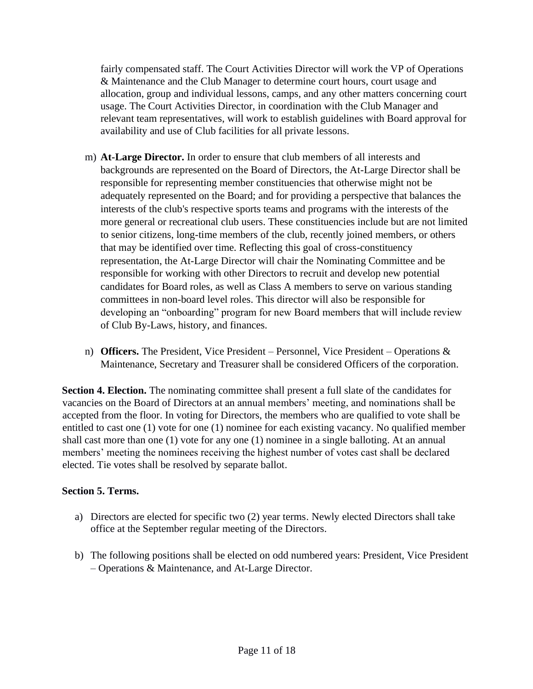fairly compensated staff. The Court Activities Director will work the VP of Operations & Maintenance and the Club Manager to determine court hours, court usage and allocation, group and individual lessons, camps, and any other matters concerning court usage. The Court Activities Director, in coordination with the Club Manager and relevant team representatives, will work to establish guidelines with Board approval for availability and use of Club facilities for all private lessons.

- m) **At-Large Director.** In order to ensure that club members of all interests and backgrounds are represented on the Board of Directors, the At-Large Director shall be responsible for representing member constituencies that otherwise might not be adequately represented on the Board; and for providing a perspective that balances the interests of the club's respective sports teams and programs with the interests of the more general or recreational club users. These constituencies include but are not limited to senior citizens, long-time members of the club, recently joined members, or others that may be identified over time. Reflecting this goal of cross-constituency representation, the At-Large Director will chair the Nominating Committee and be responsible for working with other Directors to recruit and develop new potential candidates for Board roles, as well as Class A members to serve on various standing committees in non-board level roles. This director will also be responsible for developing an "onboarding" program for new Board members that will include review of Club By-Laws, history, and finances.
- n) **Officers.** The President, Vice President Personnel, Vice President Operations & Maintenance, Secretary and Treasurer shall be considered Officers of the corporation.

**Section 4. Election.** The nominating committee shall present a full slate of the candidates for vacancies on the Board of Directors at an annual members' meeting, and nominations shall be accepted from the floor. In voting for Directors, the members who are qualified to vote shall be entitled to cast one (1) vote for one (1) nominee for each existing vacancy. No qualified member shall cast more than one (1) vote for any one (1) nominee in a single balloting. At an annual members' meeting the nominees receiving the highest number of votes cast shall be declared elected. Tie votes shall be resolved by separate ballot.

### **Section 5. Terms.**

- a) Directors are elected for specific two (2) year terms. Newly elected Directors shall take office at the September regular meeting of the Directors.
- b) The following positions shall be elected on odd numbered years: President, Vice President – Operations & Maintenance, and At-Large Director.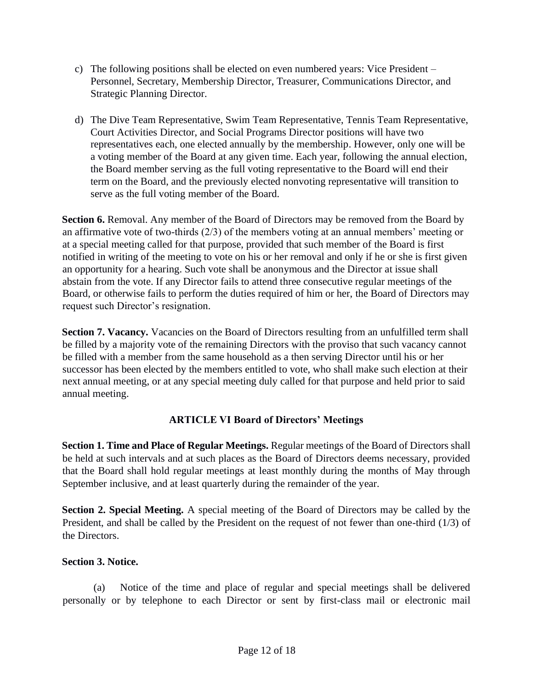- c) The following positions shall be elected on even numbered years: Vice President Personnel, Secretary, Membership Director, Treasurer, Communications Director, and Strategic Planning Director.
- d) The Dive Team Representative, Swim Team Representative, Tennis Team Representative, Court Activities Director, and Social Programs Director positions will have two representatives each, one elected annually by the membership. However, only one will be a voting member of the Board at any given time. Each year, following the annual election, the Board member serving as the full voting representative to the Board will end their term on the Board, and the previously elected nonvoting representative will transition to serve as the full voting member of the Board.

**Section 6.** Removal. Any member of the Board of Directors may be removed from the Board by an affirmative vote of two-thirds (2/3) of the members voting at an annual members' meeting or at a special meeting called for that purpose, provided that such member of the Board is first notified in writing of the meeting to vote on his or her removal and only if he or she is first given an opportunity for a hearing. Such vote shall be anonymous and the Director at issue shall abstain from the vote. If any Director fails to attend three consecutive regular meetings of the Board, or otherwise fails to perform the duties required of him or her, the Board of Directors may request such Director's resignation.

**Section 7. Vacancy.** Vacancies on the Board of Directors resulting from an unfulfilled term shall be filled by a majority vote of the remaining Directors with the proviso that such vacancy cannot be filled with a member from the same household as a then serving Director until his or her successor has been elected by the members entitled to vote, who shall make such election at their next annual meeting, or at any special meeting duly called for that purpose and held prior to said annual meeting.

# **ARTICLE VI Board of Directors' Meetings**

**Section 1. Time and Place of Regular Meetings.** Regular meetings of the Board of Directors shall be held at such intervals and at such places as the Board of Directors deems necessary, provided that the Board shall hold regular meetings at least monthly during the months of May through September inclusive, and at least quarterly during the remainder of the year.

**Section 2. Special Meeting.** A special meeting of the Board of Directors may be called by the President, and shall be called by the President on the request of not fewer than one-third (1/3) of the Directors.

### **Section 3. Notice.**

(a) Notice of the time and place of regular and special meetings shall be delivered personally or by telephone to each Director or sent by first-class mail or electronic mail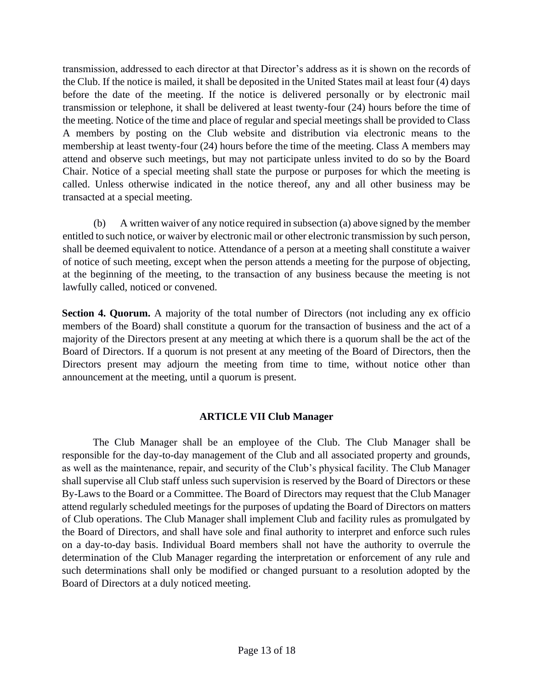transmission, addressed to each director at that Director's address as it is shown on the records of the Club. If the notice is mailed, it shall be deposited in the United States mail at least four (4) days before the date of the meeting. If the notice is delivered personally or by electronic mail transmission or telephone, it shall be delivered at least twenty-four (24) hours before the time of the meeting. Notice of the time and place of regular and special meetings shall be provided to Class A members by posting on the Club website and distribution via electronic means to the membership at least twenty-four (24) hours before the time of the meeting. Class A members may attend and observe such meetings, but may not participate unless invited to do so by the Board Chair. Notice of a special meeting shall state the purpose or purposes for which the meeting is called. Unless otherwise indicated in the notice thereof, any and all other business may be transacted at a special meeting.

(b) A written waiver of any notice required in subsection (a) above signed by the member entitled to such notice, or waiver by electronic mail or other electronic transmission by such person, shall be deemed equivalent to notice. Attendance of a person at a meeting shall constitute a waiver of notice of such meeting, except when the person attends a meeting for the purpose of objecting, at the beginning of the meeting, to the transaction of any business because the meeting is not lawfully called, noticed or convened.

**Section 4. Quorum.** A majority of the total number of Directors (not including any ex officio members of the Board) shall constitute a quorum for the transaction of business and the act of a majority of the Directors present at any meeting at which there is a quorum shall be the act of the Board of Directors. If a quorum is not present at any meeting of the Board of Directors, then the Directors present may adjourn the meeting from time to time, without notice other than announcement at the meeting, until a quorum is present.

### **ARTICLE VII Club Manager**

The Club Manager shall be an employee of the Club. The Club Manager shall be responsible for the day-to-day management of the Club and all associated property and grounds, as well as the maintenance, repair, and security of the Club's physical facility. The Club Manager shall supervise all Club staff unless such supervision is reserved by the Board of Directors or these By-Laws to the Board or a Committee. The Board of Directors may request that the Club Manager attend regularly scheduled meetings for the purposes of updating the Board of Directors on matters of Club operations. The Club Manager shall implement Club and facility rules as promulgated by the Board of Directors, and shall have sole and final authority to interpret and enforce such rules on a day-to-day basis. Individual Board members shall not have the authority to overrule the determination of the Club Manager regarding the interpretation or enforcement of any rule and such determinations shall only be modified or changed pursuant to a resolution adopted by the Board of Directors at a duly noticed meeting.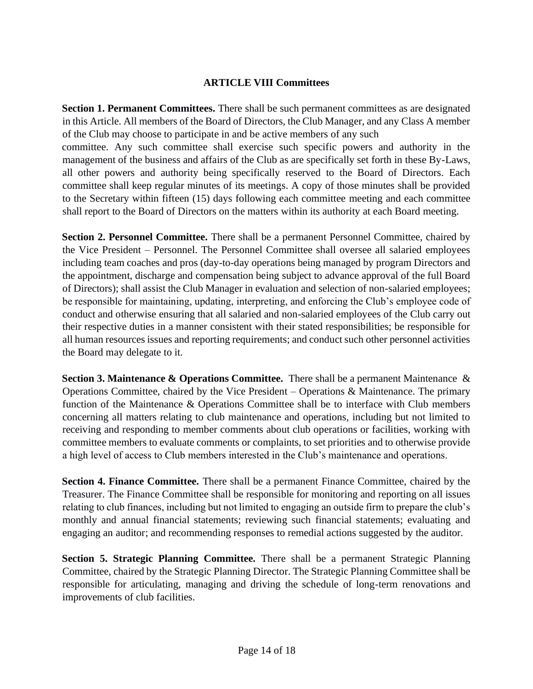#### **ARTICLE VIII Committees**

**Section 1. Permanent Committees.** There shall be such permanent committees as are designated in this Article. All members of the Board of Directors, the Club Manager, and any Class A member of the Club may choose to participate in and be active members of any such

committee. Any such committee shall exercise such specific powers and authority in the management of the business and affairs of the Club as are specifically set forth in these By-Laws, all other powers and authority being specifically reserved to the Board of Directors. Each committee shall keep regular minutes of its meetings. A copy of those minutes shall be provided to the Secretary within fifteen (15) days following each committee meeting and each committee shall report to the Board of Directors on the matters within its authority at each Board meeting.

**Section 2. Personnel Committee.** There shall be a permanent Personnel Committee, chaired by the Vice President – Personnel. The Personnel Committee shall oversee all salaried employees including team coaches and pros (day-to-day operations being managed by program Directors and the appointment, discharge and compensation being subject to advance approval of the full Board of Directors); shall assist the Club Manager in evaluation and selection of non-salaried employees; be responsible for maintaining, updating, interpreting, and enforcing the Club's employee code of conduct and otherwise ensuring that all salaried and non-salaried employees of the Club carry out their respective duties in a manner consistent with their stated responsibilities; be responsible for all human resources issues and reporting requirements; and conduct such other personnel activities the Board may delegate to it.

**Section 3. Maintenance & Operations Committee.** There shall be a permanent Maintenance & Operations Committee, chaired by the Vice President – Operations & Maintenance. The primary function of the Maintenance & Operations Committee shall be to interface with Club members concerning all matters relating to club maintenance and operations, including but not limited to receiving and responding to member comments about club operations or facilities, working with committee members to evaluate comments or complaints, to set priorities and to otherwise provide a high level of access to Club members interested in the Club's maintenance and operations.

**Section 4. Finance Committee.** There shall be a permanent Finance Committee, chaired by the Treasurer. The Finance Committee shall be responsible for monitoring and reporting on all issues relating to club finances, including but not limited to engaging an outside firm to prepare the club's monthly and annual financial statements; reviewing such financial statements; evaluating and engaging an auditor; and recommending responses to remedial actions suggested by the auditor.

**Section 5. Strategic Planning Committee.** There shall be a permanent Strategic Planning Committee, chaired by the Strategic Planning Director. The Strategic Planning Committee shall be responsible for articulating, managing and driving the schedule of long-term renovations and improvements of club facilities.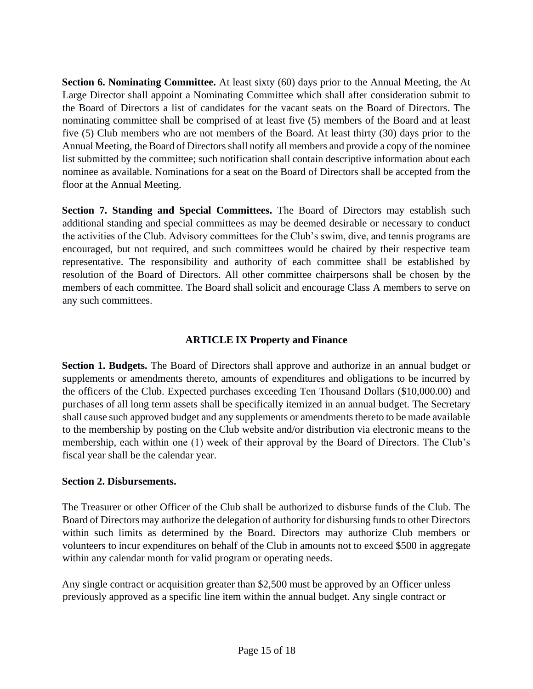**Section 6. Nominating Committee.** At least sixty (60) days prior to the Annual Meeting, the At Large Director shall appoint a Nominating Committee which shall after consideration submit to the Board of Directors a list of candidates for the vacant seats on the Board of Directors. The nominating committee shall be comprised of at least five (5) members of the Board and at least five (5) Club members who are not members of the Board. At least thirty (30) days prior to the Annual Meeting, the Board of Directors shall notify all members and provide a copy of the nominee list submitted by the committee; such notification shall contain descriptive information about each nominee as available. Nominations for a seat on the Board of Directors shall be accepted from the floor at the Annual Meeting.

**Section 7. Standing and Special Committees.** The Board of Directors may establish such additional standing and special committees as may be deemed desirable or necessary to conduct the activities of the Club. Advisory committees for the Club's swim, dive, and tennis programs are encouraged, but not required, and such committees would be chaired by their respective team representative. The responsibility and authority of each committee shall be established by resolution of the Board of Directors. All other committee chairpersons shall be chosen by the members of each committee. The Board shall solicit and encourage Class A members to serve on any such committees.

# **ARTICLE IX Property and Finance**

**Section 1. Budgets.** The Board of Directors shall approve and authorize in an annual budget or supplements or amendments thereto, amounts of expenditures and obligations to be incurred by the officers of the Club. Expected purchases exceeding Ten Thousand Dollars (\$10,000.00) and purchases of all long term assets shall be specifically itemized in an annual budget. The Secretary shall cause such approved budget and any supplements or amendments thereto to be made available to the membership by posting on the Club website and/or distribution via electronic means to the membership, each within one (1) week of their approval by the Board of Directors. The Club's fiscal year shall be the calendar year.

### **Section 2. Disbursements.**

The Treasurer or other Officer of the Club shall be authorized to disburse funds of the Club. The Board of Directors may authorize the delegation of authority for disbursing funds to other Directors within such limits as determined by the Board. Directors may authorize Club members or volunteers to incur expenditures on behalf of the Club in amounts not to exceed \$500 in aggregate within any calendar month for valid program or operating needs.

Any single contract or acquisition greater than \$2,500 must be approved by an Officer unless previously approved as a specific line item within the annual budget. Any single contract or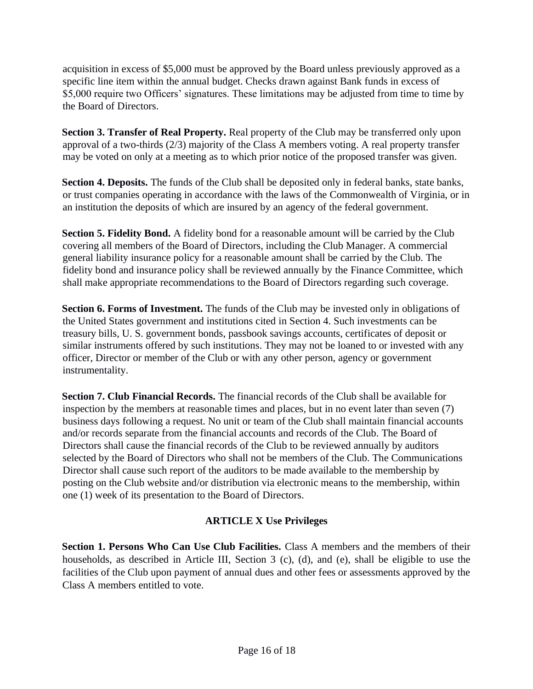acquisition in excess of \$5,000 must be approved by the Board unless previously approved as a specific line item within the annual budget. Checks drawn against Bank funds in excess of \$5,000 require two Officers' signatures. These limitations may be adjusted from time to time by the Board of Directors.

**Section 3. Transfer of Real Property.** Real property of the Club may be transferred only upon approval of a two-thirds (2/3) majority of the Class A members voting. A real property transfer may be voted on only at a meeting as to which prior notice of the proposed transfer was given.

**Section 4. Deposits.** The funds of the Club shall be deposited only in federal banks, state banks, or trust companies operating in accordance with the laws of the Commonwealth of Virginia, or in an institution the deposits of which are insured by an agency of the federal government.

**Section 5. Fidelity Bond.** A fidelity bond for a reasonable amount will be carried by the Club covering all members of the Board of Directors, including the Club Manager. A commercial general liability insurance policy for a reasonable amount shall be carried by the Club. The fidelity bond and insurance policy shall be reviewed annually by the Finance Committee, which shall make appropriate recommendations to the Board of Directors regarding such coverage.

**Section 6. Forms of Investment.** The funds of the Club may be invested only in obligations of the United States government and institutions cited in Section 4. Such investments can be treasury bills, U. S. government bonds, passbook savings accounts, certificates of deposit or similar instruments offered by such institutions. They may not be loaned to or invested with any officer, Director or member of the Club or with any other person, agency or government instrumentality.

**Section 7. Club Financial Records.** The financial records of the Club shall be available for inspection by the members at reasonable times and places, but in no event later than seven (7) business days following a request. No unit or team of the Club shall maintain financial accounts and/or records separate from the financial accounts and records of the Club. The Board of Directors shall cause the financial records of the Club to be reviewed annually by auditors selected by the Board of Directors who shall not be members of the Club. The Communications Director shall cause such report of the auditors to be made available to the membership by posting on the Club website and/or distribution via electronic means to the membership, within one (1) week of its presentation to the Board of Directors.

# **ARTICLE X Use Privileges**

**Section 1. Persons Who Can Use Club Facilities.** Class A members and the members of their households, as described in Article III, Section 3 (c), (d), and (e), shall be eligible to use the facilities of the Club upon payment of annual dues and other fees or assessments approved by the Class A members entitled to vote.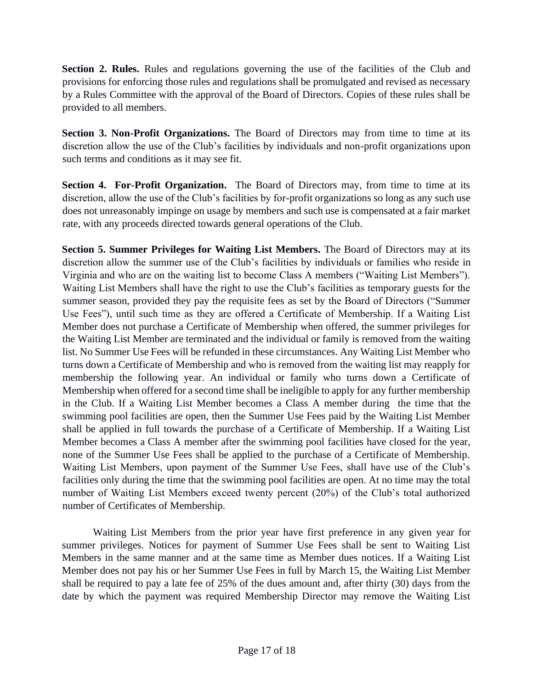**Section 2. Rules.** Rules and regulations governing the use of the facilities of the Club and provisions for enforcing those rules and regulations shall be promulgated and revised as necessary by a Rules Committee with the approval of the Board of Directors. Copies of these rules shall be provided to all members.

**Section 3. Non-Profit Organizations.** The Board of Directors may from time to time at its discretion allow the use of the Club's facilities by individuals and non-profit organizations upon such terms and conditions as it may see fit.

**Section 4. For-Profit Organization.** The Board of Directors may, from time to time at its discretion, allow the use of the Club's facilities by for-profit organizations so long as any such use does not unreasonably impinge on usage by members and such use is compensated at a fair market rate, with any proceeds directed towards general operations of the Club.

**Section 5. Summer Privileges for Waiting List Members.** The Board of Directors may at its discretion allow the summer use of the Club's facilities by individuals or families who reside in Virginia and who are on the waiting list to become Class A members ("Waiting List Members"). Waiting List Members shall have the right to use the Club's facilities as temporary guests for the summer season, provided they pay the requisite fees as set by the Board of Directors ("Summer Use Fees"), until such time as they are offered a Certificate of Membership. If a Waiting List Member does not purchase a Certificate of Membership when offered, the summer privileges for the Waiting List Member are terminated and the individual or family is removed from the waiting list. No Summer Use Fees will be refunded in these circumstances. Any Waiting List Member who turns down a Certificate of Membership and who is removed from the waiting list may reapply for membership the following year. An individual or family who turns down a Certificate of Membership when offered for a second time shall be ineligible to apply for any further membership in the Club. If a Waiting List Member becomes a Class A member during the time that the swimming pool facilities are open, then the Summer Use Fees paid by the Waiting List Member shall be applied in full towards the purchase of a Certificate of Membership. If a Waiting List Member becomes a Class A member after the swimming pool facilities have closed for the year, none of the Summer Use Fees shall be applied to the purchase of a Certificate of Membership. Waiting List Members, upon payment of the Summer Use Fees, shall have use of the Club's facilities only during the time that the swimming pool facilities are open. At no time may the total number of Waiting List Members exceed twenty percent (20%) of the Club's total authorized number of Certificates of Membership.

Waiting List Members from the prior year have first preference in any given year for summer privileges. Notices for payment of Summer Use Fees shall be sent to Waiting List Members in the same manner and at the same time as Member dues notices. If a Waiting List Member does not pay his or her Summer Use Fees in full by March 15, the Waiting List Member shall be required to pay a late fee of 25% of the dues amount and, after thirty (30) days from the date by which the payment was required Membership Director may remove the Waiting List